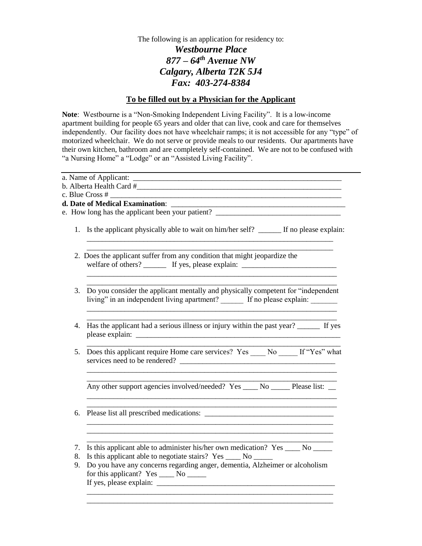The following is an application for residency to: *Westbourne Place 877 – 64th Avenue NW Calgary, Alberta T2K 5J4 Fax: 403-274-8384*

## **To be filled out by a Physician for the Applicant**

**Note**: Westbourne is a "Non-Smoking Independent Living Facility". It is a low-income apartment building for people 65 years and older that can live, cook and care for themselves independently. Our facility does not have wheelchair ramps; it is not accessible for any "type" of motorized wheelchair. We do not serve or provide meals to our residents. Our apartments have their own kitchen, bathroom and are completely self-contained. We are not to be confused with "a Nursing Home" a "Lodge" or an "Assisted Living Facility".

|    | e. How long has the applicant been your patient? ________________________________                                                                             |
|----|---------------------------------------------------------------------------------------------------------------------------------------------------------------|
|    | 1. Is the applicant physically able to wait on him/her self? ______ If no please explain:                                                                     |
|    | 2. Does the applicant suffer from any condition that might jeopardize the<br>welfare of others? _________ If yes, please explain: ___________________________ |
|    | 3. Do you consider the applicant mentally and physically competent for "independent"<br>living" in an independent living apartment? If no please explain:     |
| 4. | Has the applicant had a serious illness or injury within the past year? _______ If yes                                                                        |
| 5. | Does this applicant require Home care services? Yes ____ No ____ If "Yes" what<br>services need to be rendered?                                               |
|    | Any other support agencies involved/needed? Yes _____ No _______ Please list: ___                                                                             |
| 6. |                                                                                                                                                               |
| 7. | Is this applicant able to administer his/her own medication? Yes _____ No ______                                                                              |
| 8. | Is this applicant able to negotiate stairs? Yes ______ No ______                                                                                              |
| 9. | Do you have any concerns regarding anger, dementia, Alzheimer or alcoholism                                                                                   |
|    | for this applicant? Yes _____ No ______                                                                                                                       |
|    |                                                                                                                                                               |
|    |                                                                                                                                                               |

\_\_\_\_\_\_\_\_\_\_\_\_\_\_\_\_\_\_\_\_\_\_\_\_\_\_\_\_\_\_\_\_\_\_\_\_\_\_\_\_\_\_\_\_\_\_\_\_\_\_\_\_\_\_\_\_\_\_\_\_\_\_\_\_\_